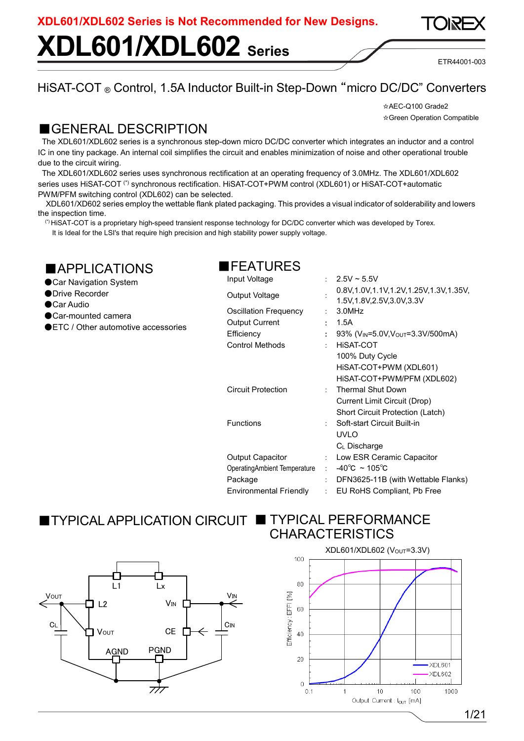# **XDL601/XDL602 Series**

ETR44001-003

### HiSAT-COT ® Control, 1.5A Inductor Built-in Step-Down "micro DC/DC" Converters

☆AEC-Q100 Grade2 ☆Green Operation Compatible

### ■GENERAL DESCRIPTION

The XDL601/XDL602 series is a synchronous step-down micro DC/DC converter which integrates an inductor and a control IC in one tiny package. An internal coil simplifies the circuit and enables minimization of noise and other operational trouble due to the circuit wiring.

The XDL601/XDL602 series uses synchronous rectification at an operating frequency of 3.0MHz. The XDL601/XDL602 series uses HiSAT-COT<sup>(\*)</sup> synchronous rectification. HiSAT-COT+PWM control (XDL601) or HiSAT-COT+automatic PWM/PFM switching control (XDL602) can be selected.

XDL601/XD602 series employ the wettable flank plated packaging. This provides a visual indicator of solderability and lowers the inspection time.

(\*) HiSAT-COT is a proprietary high-speed transient response technology for DC/DC converter which was developed by Torex.

It is Ideal for the LSI's that require high precision and high stability power supply voltage.

| <b>APPLICATIONS</b><br>● Car Navigation System                                   | <b>TEATURES</b><br>Input Voltage                                                       | ÷                                                         | $2.5V \sim 5.5V$                                                                                                                             |
|----------------------------------------------------------------------------------|----------------------------------------------------------------------------------------|-----------------------------------------------------------|----------------------------------------------------------------------------------------------------------------------------------------------|
| ● Drive Recorder                                                                 | Output Voltage                                                                         |                                                           | 0.8V, 1.0V, 1.1V, 1.2V, 1.25V, 1.3V, 1.35V,<br>1.5V, 1.8V, 2.5V, 3.0V, 3.3V                                                                  |
| ●Car Audio<br>● Car-mounted camera<br><b>OLTC</b> / Other automotive accessories | <b>Oscillation Frequency</b><br>Output Current<br>Efficiency<br><b>Control Methods</b> |                                                           | 3.0MHz<br>1.5A<br>93% (V <sub>IN</sub> =5.0V, V <sub>OUT</sub> =3.3V/500mA)<br><b>HISAT-COT</b><br>100% Duty Cycle<br>HISAT-COT+PWM (XDL601) |
|                                                                                  | <b>Circuit Protection</b>                                                              |                                                           | HISAT-COT+PWM/PFM (XDL602)<br><b>Thermal Shut Down</b><br><b>Current Limit Circuit (Drop)</b><br>Short Circuit Protection (Latch)            |
|                                                                                  | <b>Functions</b>                                                                       |                                                           | Soft-start Circuit Built-in<br><b>UVLO</b><br>$C_L$ Discharge                                                                                |
|                                                                                  | Output Capacitor<br>Operating Ambient Temperature<br>Package<br>Environmental Friendly | $\mathbb{R}^n$<br>$\mathcal{L}^{\mathcal{L}}$ .<br>÷<br>÷ | Low ESR Ceramic Capacitor<br>$-40^{\circ}$ C ~ 105 $^{\circ}$ C<br>DFN3625-11B (with Wettable Flanks)<br>EU RoHS Compliant, Pb Free          |

### ■ TYPICAL APPLICATION CIRCUIT ■ TYPICAL PERFORMANCE CHARACTERISTICS



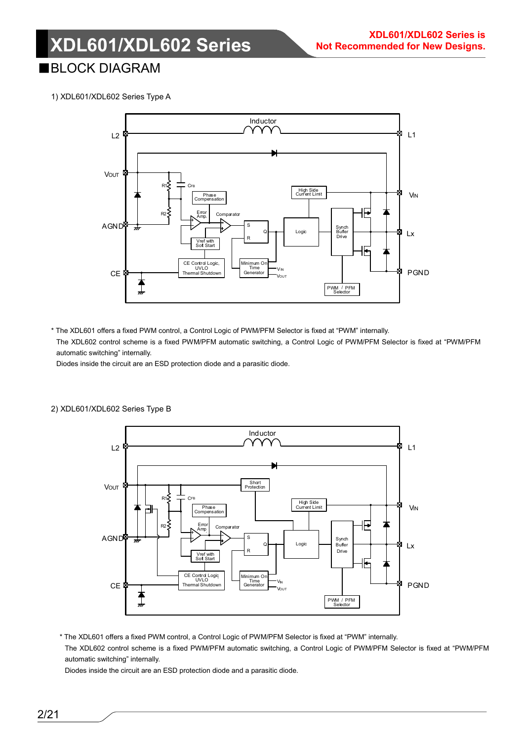### ■BLOCK DIAGRAM

1) XDL601/XDL602 Series Type A



\* The XDL601 offers a fixed PWM control, a Control Logic of PWM/PFM Selector is fixed at "PWM" internally. The XDL602 control scheme is a fixed PWM/PFM automatic switching, a Control Logic of PWM/PFM Selector is fixed at "PWM/PFM automatic switching" internally.

Diodes inside the circuit are an ESD protection diode and a parasitic diode.



#### 2) XDL601/XDL602 Series Type B

\* The XDL601 offers a fixed PWM control, a Control Logic of PWM/PFM Selector is fixed at "PWM" internally. The XDL602 control scheme is a fixed PWM/PFM automatic switching, a Control Logic of PWM/PFM Selector is fixed at "PWM/PFM automatic switching" internally.

Diodes inside the circuit are an ESD protection diode and a parasitic diode.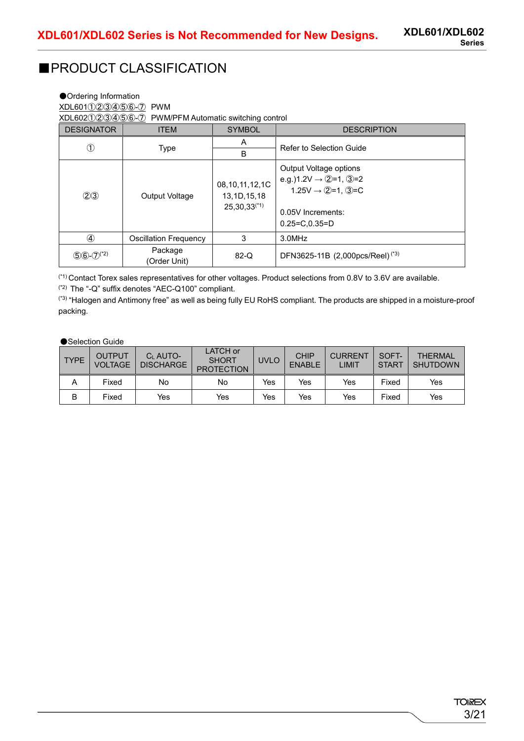### ■PRODUCT CLASSIFICATION

| ● Ordering Information<br>XDL601123456-7<br><b>PWM</b><br>XDL602123456-7<br>PWM/PFM Automatic switching control |                              |                                                          |                                                                                                                                        |  |  |  |  |  |
|-----------------------------------------------------------------------------------------------------------------|------------------------------|----------------------------------------------------------|----------------------------------------------------------------------------------------------------------------------------------------|--|--|--|--|--|
| <b>DESIGNATOR</b><br><b>SYMBOL</b><br><b>DESCRIPTION</b><br><b>ITEM</b>                                         |                              |                                                          |                                                                                                                                        |  |  |  |  |  |
| $\left(1\right)$                                                                                                | Type                         | A<br>B                                                   | Refer to Selection Guide                                                                                                               |  |  |  |  |  |
| (2)3                                                                                                            | <b>Output Voltage</b>        | 08, 10, 11, 12, 1C<br>13, 1D, 15, 18<br>$25,30,33^{(1)}$ | Output Voltage options<br>e.g.)1.2V $\rightarrow$ 2=1, 3=2<br>$1.25V \rightarrow Q=1, Q=C$<br>0.05V Increments:<br>$0.25 = C.0.35 = D$ |  |  |  |  |  |
|                                                                                                                 | <b>Oscillation Frequency</b> | 3                                                        | 3.0MHz                                                                                                                                 |  |  |  |  |  |
| $(5)6-(7)^{(2)}$                                                                                                | Package<br>(Order Unit)      | $82-Q$                                                   | DFN3625-11B (2,000pcs/Reel) <sup>(*3)</sup>                                                                                            |  |  |  |  |  |

(\*1) Contact Torex sales representatives for other voltages. Product selections from 0.8V to 3.6V are available. (\*2) The "-Q" suffix denotes "AEC-Q100" compliant.

(\*3) "Halogen and Antimony free" as well as being fully EU RoHS compliant. The products are shipped in a moisture-proof packing.

●Selection Guide

| <b>TYPE</b> | OUTPUT<br><b>VOLTAGE</b> | C <sub>I</sub> AUTO-<br><b>DISCHARGE</b> | <b>LATCH</b> or<br><b>SHORT</b><br><b>PROTECTION</b> | <b>UVLO</b> | <b>CHIP</b><br><b>ENABLE</b> | <b>CURRENT</b><br>LIMIT | SOFT-<br><b>START</b> | <b>THFRMAI</b><br><b>SHUTDOWN</b> |
|-------------|--------------------------|------------------------------------------|------------------------------------------------------|-------------|------------------------------|-------------------------|-----------------------|-----------------------------------|
| A           | Fixed                    | No                                       | No                                                   | Yes         | Yes                          | Yes                     | Fixed                 | Yes                               |
| B           | Fixed                    | Yes                                      | Yes                                                  | Yes         | Yes                          | Yes                     | Fixed                 | Yes                               |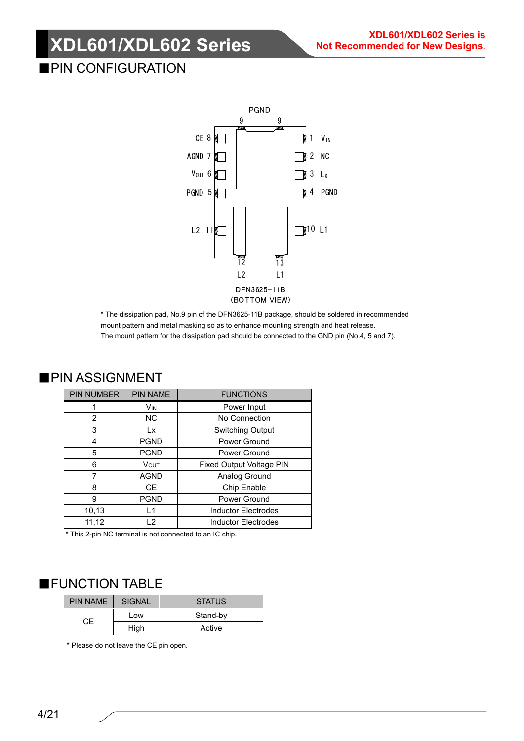### ■PIN CONFIGURATION



\* The dissipation pad, No.9 pin of the DFN3625-11B package, should be soldered in recommended mount pattern and metal masking so as to enhance mounting strength and heat release. The mount pattern for the dissipation pad should be connected to the GND pin (No.4, 5 and 7).

| <b>PIN NUMBER</b> | <b>PIN NAME</b> | <b>FUNCTIONS</b>                |
|-------------------|-----------------|---------------------------------|
|                   | Vın             | Power Input                     |
| 2                 | <b>NC</b>       | No Connection                   |
| 3                 | Lx              | <b>Switching Output</b>         |
| 4                 | <b>PGND</b>     | Power Ground                    |
| 5                 | <b>PGND</b>     | Power Ground                    |
| 6                 | <b>VOUT</b>     | <b>Fixed Output Voltage PIN</b> |
| 7                 | <b>AGND</b>     | Analog Ground                   |
| 8                 | CE.             | Chip Enable                     |
| 9                 | <b>PGND</b>     | Power Ground                    |
| 10,13             | $\overline{1}$  | <b>Inductor Electrodes</b>      |
| 11,12             | 12              | <b>Inductor Electrodes</b>      |

### ■PIN ASSIGNMENT

\* This 2-pin NC terminal is not connected to an IC chip.

### ■FUNCTION TABLE

| <b>PIN NAME</b> | <b>SIGNAL</b> | <b>STATUS</b> |  |
|-----------------|---------------|---------------|--|
| CF              | Low           | Stand-by      |  |
|                 | High          | Active        |  |

\* Please do not leave the CE pin open.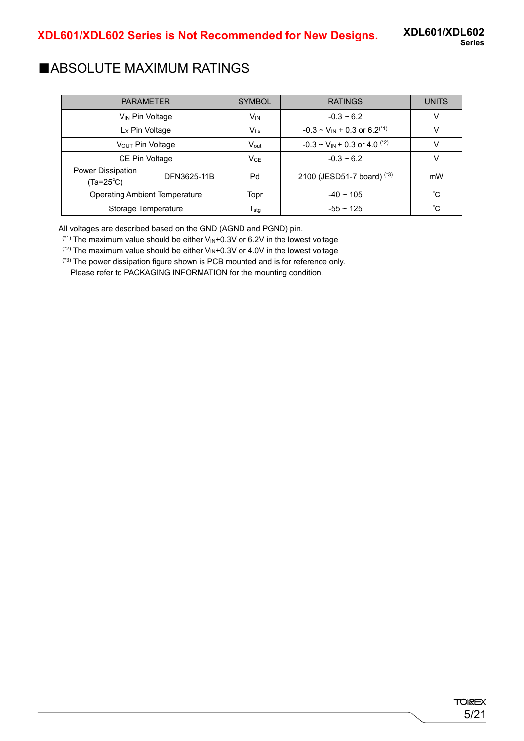### ■ABSOLUTE MAXIMUM RATINGS

| <b>PARAMETER</b>                                     |  | <b>SYMBOL</b>               | <b>RATINGS</b>                                  | <b>UNITS</b> |
|------------------------------------------------------|--|-----------------------------|-------------------------------------------------|--------------|
| V <sub>IN</sub> Pin Voltage                          |  | Vin                         | $-0.3 - 6.2$                                    | V            |
| L <sub>x</sub> Pin Voltage                           |  | $V_{Lx}$                    | $-0.3 \sim V_{IN} + 0.3$ or 6.2 <sup>(*1)</sup> |              |
| V <sub>OUT</sub> Pin Voltage                         |  | $V_{\text{out}}$            | $-0.3 \sim V_{IN} + 0.3$ or 4.0 <sup>(*2)</sup> |              |
| CE Pin Voltage                                       |  | $V_{CE}$                    | $-0.3 - 6.2$                                    |              |
| <b>Power Dissipation</b><br>DFN3625-11B<br>(Ta=25°C) |  | Pd                          | 2100 (JESD51-7 board) (*3)                      | mW           |
| <b>Operating Ambient Temperature</b>                 |  | Topr                        | $-40 \sim 105$                                  | °C           |
| Storage Temperature                                  |  | $\mathsf{T}_{\textsf{stq}}$ | $-55 \sim 125$                                  | °C           |

All voltages are described based on the GND (AGND and PGND) pin.

 $(1)$ <sup>(\*1)</sup> The maximum value should be either  $V_{\text{IN}}+0.3V$  or 6.2V in the lowest voltage

 $(2)$  The maximum value should be either V<sub>IN</sub>+0.3V or 4.0V in the lowest voltage

(\*3) The power dissipation figure shown is PCB mounted and is for reference only.

Please refer to PACKAGING INFORMATION for the mounting condition.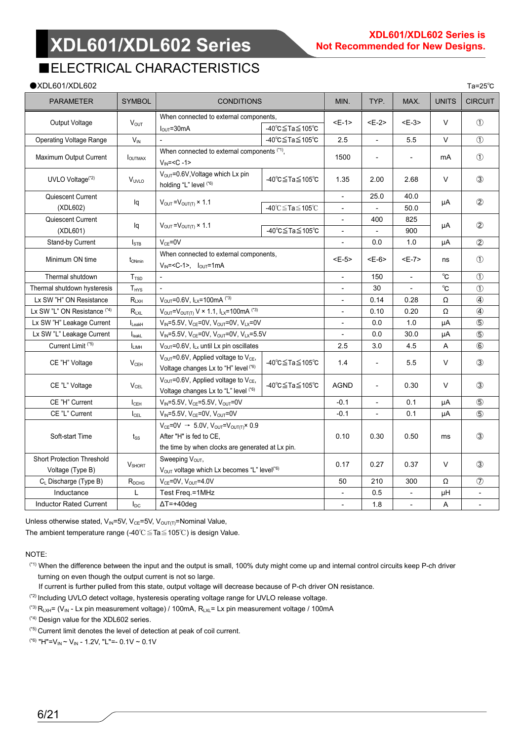### ■ELECTRICAL CHARACTERISTICS

| $\bullet$ XDL601/XDL602                               |                         |                                                                                                                                                   |                                        |             |                |                          |               | Ta= $25^{\circ}$ C |
|-------------------------------------------------------|-------------------------|---------------------------------------------------------------------------------------------------------------------------------------------------|----------------------------------------|-------------|----------------|--------------------------|---------------|--------------------|
| <b>PARAMETER</b>                                      | <b>SYMBOL</b>           | <b>CONDITIONS</b>                                                                                                                                 |                                        | MIN.        | TYP.           | MAX.                     | <b>UNITS</b>  | <b>CIRCUIT</b>     |
|                                                       |                         | When connected to external components,                                                                                                            |                                        |             | $E-2>$         | $E-3>$                   |               |                    |
| Output Voltage                                        | <b>Vout</b>             | $I_{\text{OUT}} = 30 \text{mA}$                                                                                                                   | -40℃≦Ta≦105℃                           | <e-1></e-1> |                |                          | $\vee$        | $\circled{1}$      |
| Operating Voltage Range                               | $V_{\text{IN}}$         |                                                                                                                                                   | -40℃≦Ta≦105℃                           |             |                | 5.5                      | $\vee$        | $\circled{1}$      |
| Maximum Output Current                                | <b>IOUTMAX</b>          | When connected to external components (*1),<br>$V_{IN} = < C - 1$                                                                                 |                                        | 1500        | L,             | $\blacksquare$           | mA            | $\circled{1}$      |
| UVLO Voltage <sup>(*2)</sup>                          | V <sub>UVLO</sub>       | V <sub>OUT</sub> =0.6V, Voltage which Lx pin<br>holding "L" level (*6)                                                                            | -40℃≦Ta≦105℃                           | 1.35        | 2.00           | 2.68                     | $\vee$        | $\circled{3}$      |
| Quiescent Current                                     |                         |                                                                                                                                                   |                                        |             | 25.0           | 40.0                     |               | $\circled{2}$      |
| (XDL602)                                              | lq                      | $V_{\text{OUT}} = V_{\text{OUT(T)}} \times 1.1$                                                                                                   | -40℃≦Ta≦105℃                           |             |                | 50.0                     | μA            |                    |
| Quiescent Current                                     |                         |                                                                                                                                                   |                                        |             | 400            | 825                      |               | $\circled{2}$      |
| (XDL601)                                              | lq                      | $V_{\text{OUT}} = V_{\text{OUT(T)}} \times 1.1$                                                                                                   | -40℃≦Ta≦105℃                           | $\sim$      |                | 900                      | μA            |                    |
| Stand-by Current                                      | <b>I</b> stb            | $V_{CE} = 0V$                                                                                                                                     |                                        |             | 0.0            | 1.0                      | μA            | $\circled{2}$      |
| Minimum ON time                                       | t <sub>ONmin</sub>      | $V_{IN} = $ , $I_{OUT} = 1mA$                                                                                                                     | When connected to external components, |             |                | $E-7>$                   | ns            | $\circled{1}$      |
| Thermal shutdown                                      | <b>T</b> <sub>rsp</sub> |                                                                                                                                                   |                                        | 150         | $\blacksquare$ | $^{\circ}$ C             | $\circled{1}$ |                    |
| Thermal shutdown hysteresis                           | T <sub>HYS</sub>        |                                                                                                                                                   |                                        | 30          |                | $^{\circ}$ C             | $\circled{1}$ |                    |
| Lx SW "H" ON Resistance                               | $R_{LXH}$               | V <sub>OUT</sub> =0.6V, ILX=100mA (*3)                                                                                                            |                                        | 0.14        | 0.28           | Ω                        | $\circled{4}$ |                    |
| Lx SW "L" ON Resistance (*4)                          | $R_{LXL}$               | $V_{OUT} = V_{OUT(T)} V \times 1.1$ , $I_{LX} = 100$ mA (*3)                                                                                      |                                        | 0.10        | 0.20           | Ω                        | $\circled{4}$ |                    |
| Lx SW "H" Leakage Current                             | $I_{\text{LeakH}}$      | $V_{IN} = 5.5V$ , $V_{CE} = 0V$ , $V_{OUT} = 0V$ , $V_{LX} = 0V$                                                                                  |                                        |             | 0.0            | 1.0                      | μA            | $\circledS$        |
| Lx SW "L" Leakage Current                             | $I_{\text{leakL}}$      | $V_{IN} = 5.5V$ , $V_{CE} = 0V$ , $V_{OUT} = 0V$ , $V_{LX} = 5.5V$                                                                                |                                        |             | 0.0            | 30.0                     | μA            | $\circledS$        |
| Current Limit <sup>(*5)</sup>                         | <b>LIMH</b>             | V <sub>OUT</sub> =0.6V, ILx until Lx pin oscillates                                                                                               |                                        | 2.5         | 3.0            | 4.5                      | A             | $\circledast$      |
| CE "H" Voltage                                        | $V_{CEH}$               | V <sub>OUT</sub> =0.6V, Applied voltage to V <sub>CE</sub> ,<br>Voltage changes Lx to "H" level (*6)                                              | -40℃≦Ta≦105℃                           | 1.4         | ÷,             | 5.5                      | $\vee$        | $\circled{3}$      |
| CE "L" Voltage                                        | $V_{\rm CFL}$           | $V_{OUT}$ =0.6V, Applied voltage to $V_{CE}$ ,<br>Voltage changes Lx to "L" level (*6)                                                            | -40℃≦Ta≦105℃                           | <b>AGND</b> | ÷,             | 0.30                     | $\vee$        | $\circled{3}$      |
| CE "H" Current                                        | $I_{\text{CEH}}$        | $V_{IN} = 5.5V$ , $V_{CE} = 5.5V$ , $V_{OUT} = 0V$                                                                                                |                                        | $-0.1$      |                | 0.1                      | μA            | $\circledS$        |
| CE "L" Current                                        | $I_{\text{CEL}}$        | $V_{IN} = 5.5V$ , $V_{CE} = 0V$ , $V_{OUT} = 0V$                                                                                                  |                                        | $-0.1$      |                | 0.1                      | μA            | $\circledS$        |
| Soft-start Time                                       | $t_{\rm SS}$            | $V_{CE} = 0V \rightarrow 5.0V$ , $V_{OUT} = V_{OUT(T)} \times 0.9$<br>After "H" is fed to CE,<br>the time by when clocks are generated at Lx pin. | 0.10                                   | 0.30        | 0.50           | ms                       | $\circled{3}$ |                    |
| <b>Short Protection Threshold</b><br>Voltage (Type B) | V <sub>SHORT</sub>      | Sweeping Vout,<br>V <sub>OUT</sub> voltage which Lx becomes "L" level <sup>(*6)</sup>                                                             | 0.17                                   | 0.27        | 0.37           | $\vee$                   | $\circled{3}$ |                    |
| C <sub>L</sub> Discharge (Type B)                     | R <sub>DCHG</sub>       | $V_{CE}$ =0V, $V_{OUT}$ =4.0V                                                                                                                     |                                        | 50          | 210            | 300                      | Ω             | $\circledcirc$     |
| Inductance                                            | L                       | Test Freq.=1MHz                                                                                                                                   |                                        |             | 0.5            | $\overline{\phantom{a}}$ | $\mu$ H       |                    |
| <b>Inductor Rated Current</b>                         | $I_{DC}$                | $\Delta T = +40$ deg                                                                                                                              |                                        |             |                | $\overline{a}$           | A             | $\blacksquare$     |

Unless otherwise stated,  $V_{IN}$ =5V,  $V_{CE}$ =5V,  $V_{OUT(T)}$ =Nominal Value, The ambient temperature range (-40℃≦Ta≦105℃) is design Value.

NOTE:

- (\*1) When the difference between the input and the output is small, 100% duty might come up and internal control circuits keep P-ch driver turning on even though the output current is not so large.
- If current is further pulled from this state, output voltage will decrease because of P-ch driver ON resistance.
- (\*2) Including UVLO detect voltage, hysteresis operating voltage range for UVLO release voltage.
- (\*3)  $R_{LXH}$ = ( $V_{IN}$  Lx pin measurement voltage) / 100mA,  $R_{LXL}$ = Lx pin measurement voltage / 100mA

(\*4) Design value for the XDL602 series.

(\*5) Current limit denotes the level of detection at peak of coil current.

(\*6) "H"= $V_{IN}$  ~  $V_{IN}$  - 1.2V, "L"=- 0.1V ~ 0.1V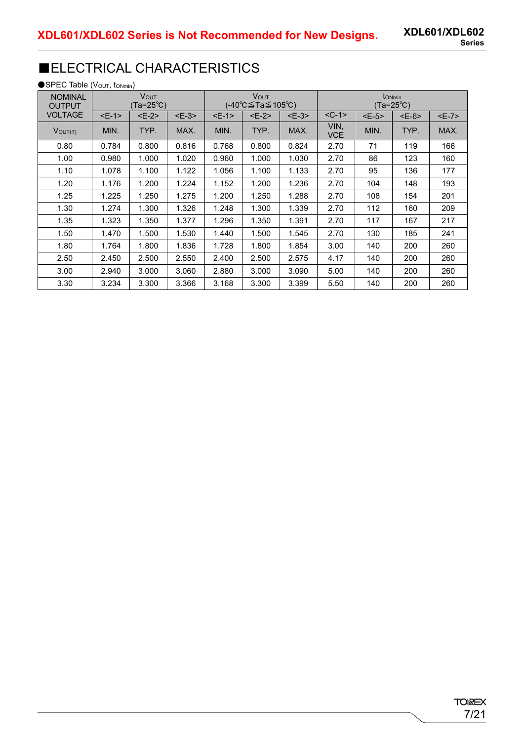## ■ELECTRICAL CHARACTERISTICS

●SPEC Table (Vout, tonmin)

| <b>NOMINAL</b><br><b>OUTPUT</b> |        | Vout<br>(Ta=25℃) |        |       | <b>VOUT</b><br>(-40°C≦Ta≦105°C) |        |                    |       | t <sub>ONmin</sub><br>(Ta=25℃) |         |
|---------------------------------|--------|------------------|--------|-------|---------------------------------|--------|--------------------|-------|--------------------------------|---------|
| <b>VOLTAGE</b>                  | $E-1>$ | $E-2$            | $E-3>$ | $E-1$ | $E-2$                           | $E-3>$ | $<$ C-1 $>$        | $E-5$ | $E-6$                          | $E - 7$ |
| $V$ OUT $(T)$                   | MIN.   | TYP.             | MAX.   | MIN.  | TYP.                            | MAX.   | VIN,<br><b>VCE</b> | MIN.  | TYP.                           | MAX.    |
| 0.80                            | 0.784  | 0.800            | 0.816  | 0.768 | 0.800                           | 0.824  | 2.70               | 71    | 119                            | 166     |
| 1.00                            | 0.980  | 1.000            | 1.020  | 0.960 | 1.000                           | 1.030  | 2.70               | 86    | 123                            | 160     |
| 1.10                            | 1.078  | 1.100            | 1.122  | 1.056 | 1.100                           | 1.133  | 2.70               | 95    | 136                            | 177     |
| 1.20                            | 1.176  | 1.200            | 1.224  | 1.152 | 1.200                           | 1.236  | 2.70               | 104   | 148                            | 193     |
| 1.25                            | 1.225  | 1.250            | 1.275  | 1.200 | 1.250                           | 1.288  | 2.70               | 108   | 154                            | 201     |
| 1.30                            | 1.274  | 1.300            | 1.326  | 1.248 | 1.300                           | 1.339  | 2.70               | 112   | 160                            | 209     |
| 1.35                            | 1.323  | 1.350            | 1.377  | 1.296 | 1.350                           | 1.391  | 2.70               | 117   | 167                            | 217     |
| 1.50                            | 1.470  | 1.500            | 1.530  | 1.440 | 1.500                           | 1.545  | 2.70               | 130   | 185                            | 241     |
| 1.80                            | 1.764  | 1.800            | 1.836  | 1.728 | 1.800                           | 1.854  | 3.00               | 140   | 200                            | 260     |
| 2.50                            | 2.450  | 2.500            | 2.550  | 2.400 | 2.500                           | 2.575  | 4.17               | 140   | 200                            | 260     |
| 3.00                            | 2.940  | 3.000            | 3.060  | 2.880 | 3.000                           | 3.090  | 5.00               | 140   | 200                            | 260     |
| 3.30                            | 3.234  | 3.300            | 3.366  | 3.168 | 3.300                           | 3.399  | 5.50               | 140   | 200                            | 260     |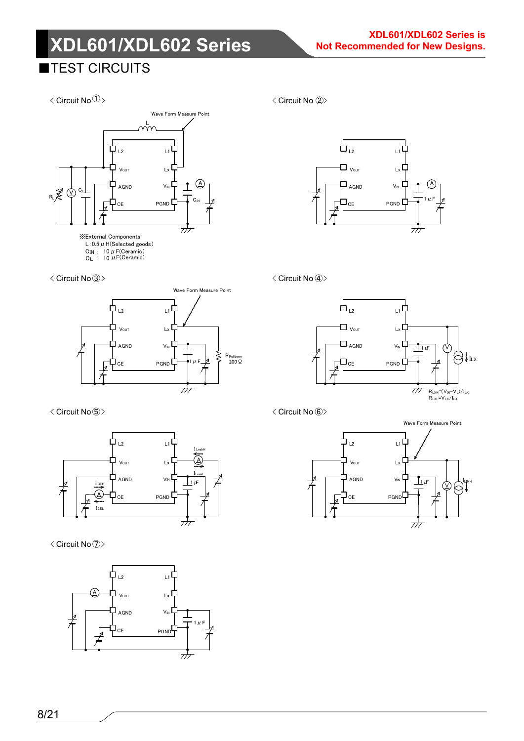## **ITEST CIRCUITS**

 $\langle$  Circuit No $\textcircled{1}\rangle$ 



< Circuit No. ③> < Circuit No. ④>



< Circuit No 5>



< Circuit No $\textcircled{7}$ 







< Circuit No. ⑥>

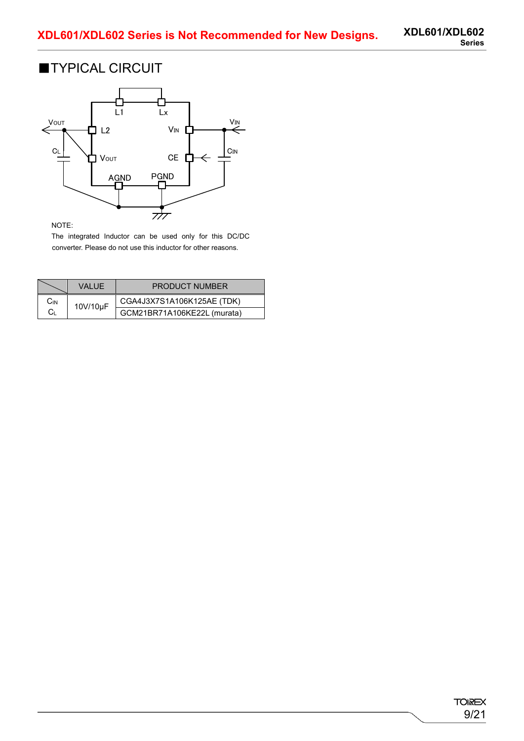### ■TYPICAL CIRCUIT



#### NOTE:

The integrated Inductor can be used only for this DC/DC converter. Please do not use this inductor for other reasons.

|     | VAI UF.  | <b>PRODUCT NUMBER</b>       |
|-----|----------|-----------------------------|
| Cin | 10V/10µF | CGA4J3X7S1A106K125AE (TDK)  |
| Cι  |          | GCM21BR71A106KE22L (murata) |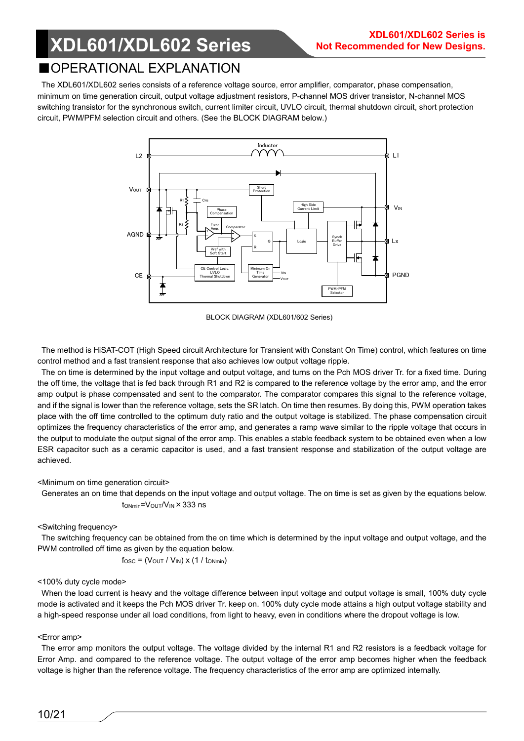### ■OPERATIONAL EXPLANATION

The XDL601/XDL602 series consists of a reference voltage source, error amplifier, comparator, phase compensation, minimum on time generation circuit, output voltage adjustment resistors, P-channel MOS driver transistor, N-channel MOS switching transistor for the synchronous switch, current limiter circuit, UVLO circuit, thermal shutdown circuit, short protection circuit, PWM/PFM selection circuit and others. (See the BLOCK DIAGRAM below.)



BLOCK DIAGRAM (XDL601/602 Series)

The method is HiSAT-COT (High Speed circuit Architecture for Transient with Constant On Time) control, which features on time control method and a fast transient response that also achieves low output voltage ripple.

The on time is determined by the input voltage and output voltage, and turns on the Pch MOS driver Tr. for a fixed time. During the off time, the voltage that is fed back through R1 and R2 is compared to the reference voltage by the error amp, and the error amp output is phase compensated and sent to the comparator. The comparator compares this signal to the reference voltage, and if the signal is lower than the reference voltage, sets the SR latch. On time then resumes. By doing this, PWM operation takes place with the off time controlled to the optimum duty ratio and the output voltage is stabilized. The phase compensation circuit optimizes the frequency characteristics of the error amp, and generates a ramp wave similar to the ripple voltage that occurs in the output to modulate the output signal of the error amp. This enables a stable feedback system to be obtained even when a low ESR capacitor such as a ceramic capacitor is used, and a fast transient response and stabilization of the output voltage are achieved.

#### <Minimum on time generation circuit>

Generates an on time that depends on the input voltage and output voltage. The on time is set as given by the equations below.  $t_{ONmin} = V_{OUT}/V_{IN} \times 333$  ns

### <Switching frequency>

The switching frequency can be obtained from the on time which is determined by the input voltage and output voltage, and the PWM controlled off time as given by the equation below.

$$
f_{\text{OSC}} = (V_{\text{OUT}} / V_{\text{IN}}) \times (1 / t_{\text{ONmin}})
$$

#### <100% duty cycle mode>

When the load current is heavy and the voltage difference between input voltage and output voltage is small, 100% duty cycle mode is activated and it keeps the Pch MOS driver Tr. keep on. 100% duty cycle mode attains a high output voltage stability and a high-speed response under all load conditions, from light to heavy, even in conditions where the dropout voltage is low.

#### <Error amp>

The error amp monitors the output voltage. The voltage divided by the internal R1 and R2 resistors is a feedback voltage for Error Amp. and compared to the reference voltage. The output voltage of the error amp becomes higher when the feedback voltage is higher than the reference voltage. The frequency characteristics of the error amp are optimized internally.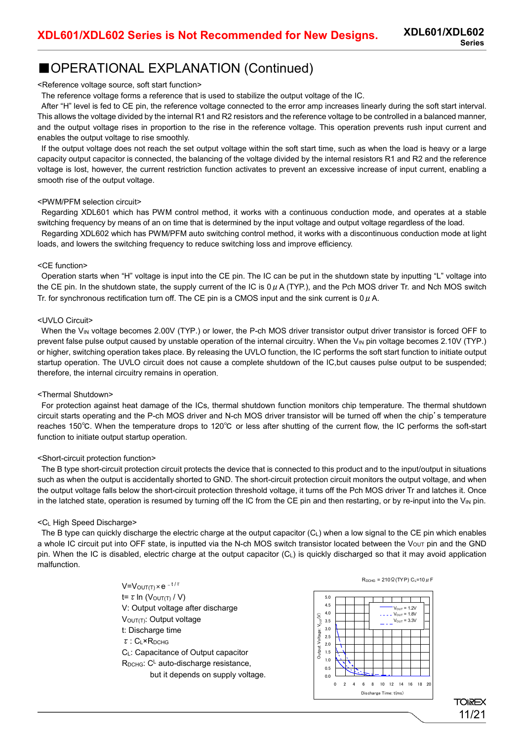### ■OPERATIONAL EXPLANATION (Continued)

<Reference voltage source, soft start function>

The reference voltage forms a reference that is used to stabilize the output voltage of the IC.

After "H" level is fed to CE pin, the reference voltage connected to the error amp increases linearly during the soft start interval. This allows the voltage divided by the internal R1 and R2 resistors and the reference voltage to be controlled in a balanced manner, and the output voltage rises in proportion to the rise in the reference voltage. This operation prevents rush input current and enables the output voltage to rise smoothly.

If the output voltage does not reach the set output voltage within the soft start time, such as when the load is heavy or a large capacity output capacitor is connected, the balancing of the voltage divided by the internal resistors R1 and R2 and the reference voltage is lost, however, the current restriction function activates to prevent an excessive increase of input current, enabling a smooth rise of the output voltage.

#### <PWM/PFM selection circuit>

Regarding XDL601 which has PWM control method, it works with a continuous conduction mode, and operates at a stable switching frequency by means of an on time that is determined by the input voltage and output voltage regardless of the load.

Regarding XDL602 which has PWM/PFM auto switching control method, it works with a discontinuous conduction mode at light loads, and lowers the switching frequency to reduce switching loss and improve efficiency.

#### <CE function>

Operation starts when "H" voltage is input into the CE pin. The IC can be put in the shutdown state by inputting "L" voltage into the CE pin. In the shutdown state, the supply current of the IC is  $0 \mu$  A (TYP.), and the Pch MOS driver Tr. and Nch MOS switch Tr. for synchronous rectification turn off. The CE pin is a CMOS input and the sink current is  $0 \mu$  A.

#### <UVLO Circuit>

When the  $V_{IN}$  voltage becomes 2.00V (TYP.) or lower, the P-ch MOS driver transistor output driver transistor is forced OFF to prevent false pulse output caused by unstable operation of the internal circuitry. When the  $V_{IN}$  pin voltage becomes 2.10V (TYP.) or higher, switching operation takes place. By releasing the UVLO function, the IC performs the soft start function to initiate output startup operation. The UVLO circuit does not cause a complete shutdown of the IC,but causes pulse output to be suspended; therefore, the internal circuitry remains in operation.

#### <Thermal Shutdown>

For protection against heat damage of the ICs, thermal shutdown function monitors chip temperature. The thermal shutdown circuit starts operating and the P-ch MOS driver and N-ch MOS driver transistor will be turned off when the chip's temperature reaches 150℃. When the temperature drops to 120℃ or less after shutting of the current flow, the IC performs the soft-start function to initiate output startup operation.

#### <Short-circuit protection function>

The B type short-circuit protection circuit protects the device that is connected to this product and to the input/output in situations such as when the output is accidentally shorted to GND. The short-circuit protection circuit monitors the output voltage, and when the output voltage falls below the short-circuit protection threshold voltage, it turns off the Pch MOS driver Tr and latches it. Once in the latched state, operation is resumed by turning off the IC from the CE pin and then restarting, or by re-input into the  $V_{\text{IN}}$  pin.

#### <CL High Speed Discharge>

The B type can quickly discharge the electric charge at the output capacitor (CL) when a low signal to the CE pin which enables a whole IC circuit put into OFF state, is inputted via the N-ch MOS switch transistor located between the Vour pin and the GND pin. When the IC is disabled, electric charge at the output capacitor (CL) is quickly discharged so that it may avoid application malfunction.

> $V=V_{\text{OUT(T)}} \times e^{-t/\tau}$ t= τ In (V<sub>OUT(T)</sub> / V) V: Output voltage after discharge VOUT(T): Output voltage t: Discharge time τ: CL×RDCHG CL: Capacitance of Output capacitor  $R_{DCHG}$ :  $C^L$  auto-discharge resistance, but it depends on supply voltage.



R<sub>DCHG</sub> = 210 Ω (TYP) C<sub>L</sub>=10  $\mu$  F

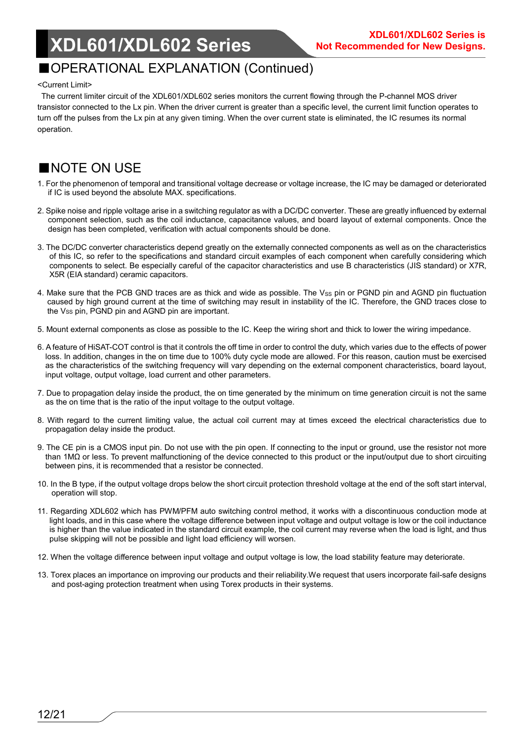### ■OPERATIONAL EXPLANATION (Continued)

#### <Current Limit>

The current limiter circuit of the XDL601/XDL602 series monitors the current flowing through the P-channel MOS driver transistor connected to the Lx pin. When the driver current is greater than a specific level, the current limit function operates to turn off the pulses from the Lx pin at any given timing. When the over current state is eliminated, the IC resumes its normal operation.

### ■NOTE ON USE

- 1. For the phenomenon of temporal and transitional voltage decrease or voltage increase, the IC may be damaged or deteriorated if IC is used beyond the absolute MAX. specifications.
- 2. Spike noise and ripple voltage arise in a switching regulator as with a DC/DC converter. These are greatly influenced by external component selection, such as the coil inductance, capacitance values, and board layout of external components. Once the design has been completed, verification with actual components should be done.
- 3. The DC/DC converter characteristics depend greatly on the externally connected components as well as on the characteristics of this IC, so refer to the specifications and standard circuit examples of each component when carefully considering which components to select. Be especially careful of the capacitor characteristics and use B characteristics (JIS standard) or X7R, X5R (EIA standard) ceramic capacitors.
- 4. Make sure that the PCB GND traces are as thick and wide as possible. The Vss pin or PGND pin and AGND pin fluctuation caused by high ground current at the time of switching may result in instability of the IC. Therefore, the GND traces close to the Vss pin, PGND pin and AGND pin are important.
- 5. Mount external components as close as possible to the IC. Keep the wiring short and thick to lower the wiring impedance.
- 6. A feature of HiSAT-COT control is that it controls the off time in order to control the duty, which varies due to the effects of power loss. In addition, changes in the on time due to 100% duty cycle mode are allowed. For this reason, caution must be exercised as the characteristics of the switching frequency will vary depending on the external component characteristics, board layout, input voltage, output voltage, load current and other parameters.
- 7. Due to propagation delay inside the product, the on time generated by the minimum on time generation circuit is not the same as the on time that is the ratio of the input voltage to the output voltage.
- 8. With regard to the current limiting value, the actual coil current may at times exceed the electrical characteristics due to propagation delay inside the product.
- 9. The CE pin is a CMOS input pin. Do not use with the pin open. If connecting to the input or ground, use the resistor not more than 1MΩ or less. To prevent malfunctioning of the device connected to this product or the input/output due to short circuiting between pins, it is recommended that a resistor be connected.
- 10. In the B type, if the output voltage drops below the short circuit protection threshold voltage at the end of the soft start interval, operation will stop.
- 11. Regarding XDL602 which has PWM/PFM auto switching control method, it works with a discontinuous conduction mode at light loads, and in this case where the voltage difference between input voltage and output voltage is low or the coil inductance is higher than the value indicated in the standard circuit example, the coil current may reverse when the load is light, and thus pulse skipping will not be possible and light load efficiency will worsen.
- 12. When the voltage difference between input voltage and output voltage is low, the load stability feature may deteriorate.
- 13. Torex places an importance on improving our products and their reliability.We request that users incorporate fail-safe designs and post-aging protection treatment when using Torex products in their systems.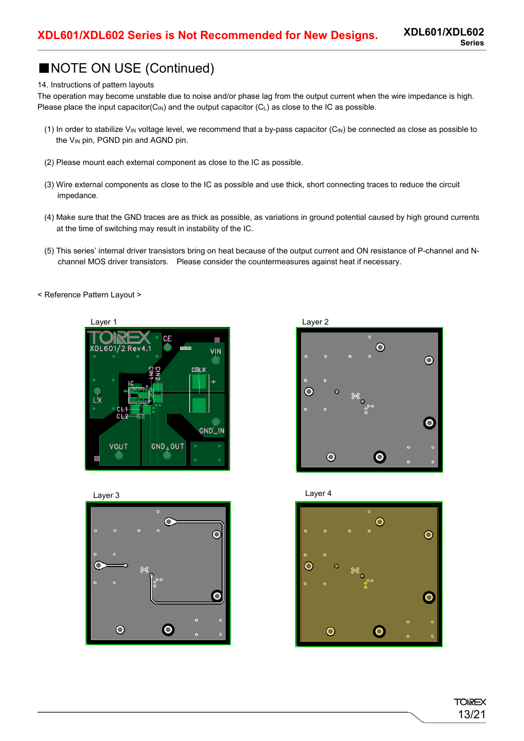### ■NOTE ON USE (Continued)

#### 14. Instructions of pattern layouts

The operation may become unstable due to noise and/or phase lag from the output current when the wire impedance is high. Please place the input capacitor( $C_{\text{IN}}$ ) and the output capacitor ( $C_{\text{L}}$ ) as close to the IC as possible.

- (1) In order to stabilize VIN voltage level, we recommend that a by-pass capacitor  $(C_{IN})$  be connected as close as possible to the  $V_{IN}$  pin, PGND pin and AGND pin.
- (2) Please mount each external component as close to the IC as possible.
- (3) Wire external components as close to the IC as possible and use thick, short connecting traces to reduce the circuit impedance.
- (4) Make sure that the GND traces are as thick as possible, as variations in ground potential caused by high ground currents at the time of switching may result in instability of the IC.
- (5) This series' internal driver transistors bring on heat because of the output current and ON resistance of P-channel and Nchannel MOS driver transistors. Please consider the countermeasures against heat if necessary.
- < Reference Pattern Layout >











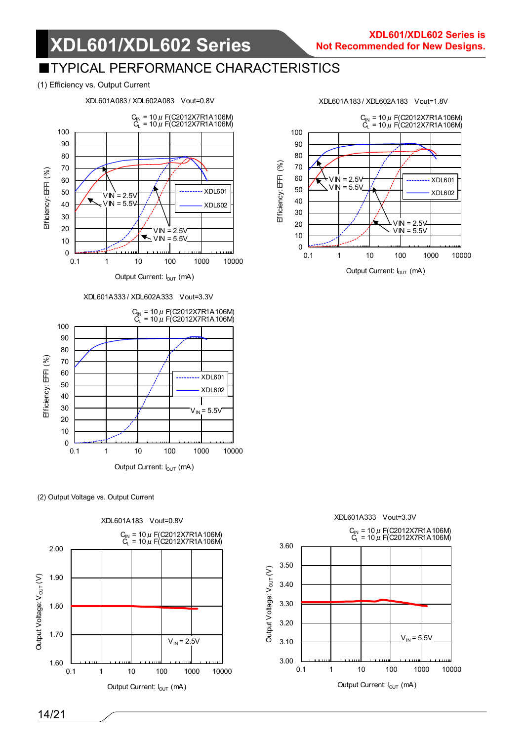### **TYPICAL PERFORMANCE CHARACTERISTICS**

#### (1) Efficiency vs. Output Current



XDL601A333 / XDL602A333 Vout=3.3V



(2) Output Voltage vs. Output Current





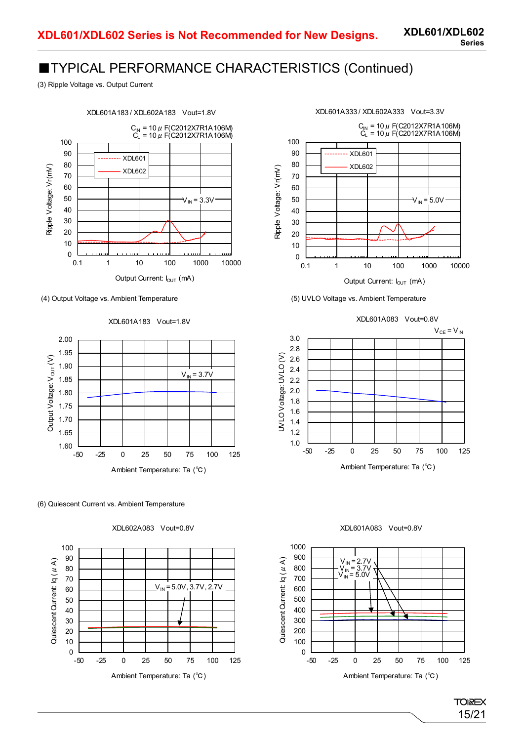### ■TYPICAL PERFORMANCE CHARACTERISTICS (Continued)

(3) Ripple Voltage vs. Output Current



(4) Output Voltage vs. Ambient Temperature (5) UVLO Voltage vs. Ambient Temperature





(6) Quiescent Current vs. Ambient Temperature









#### XDL601A083 Vout=0.8V



**TOREX** 15/21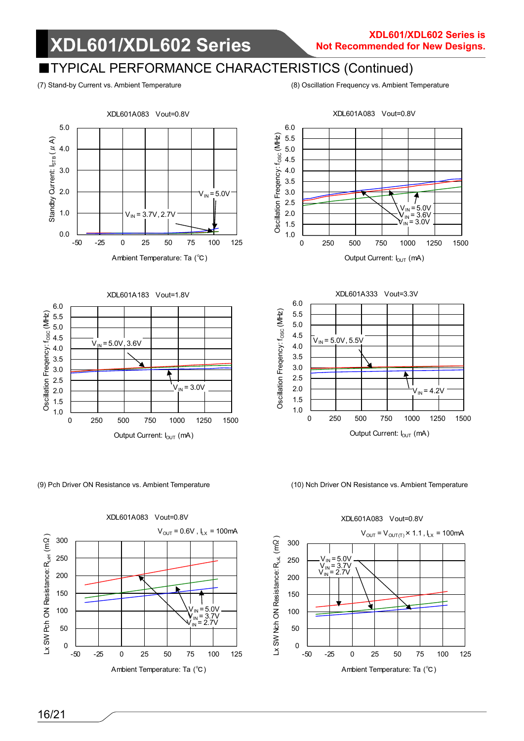### TYPICAL PERFORMANCE CHARACTERISTICS (Continued)

(7) Stand-by Current vs. Ambient Temperature (8) Oscillation Frequency vs. Ambient Temperature







XDL601A083 Vout=0.8V





(9) Pch Driver ON Resistance vs. Ambient Temperature (10) Nch Driver ON Resistance vs. Ambient Temperature

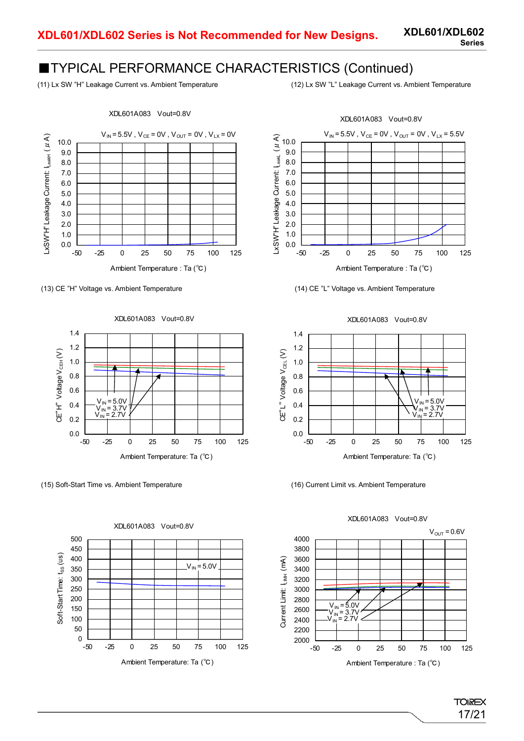### ■TYPICAL PERFORMANCE CHARACTERISTICS (Continued)

(11) Lx SW "H" Leakage Current vs. Ambient Temperature (12) Lx SW "L" Leakage Current vs. Ambient Temperature



XDL601A083 Vout=0.8V





(15) Soft-Start Time vs. Ambient Temperature (16) Current Limit vs. Ambient Temperature







1.4 1.2 CE"L" Voltage V<sub>CEL</sub>(V) CE"L" Voltage V $_{\rm CEL}$  (V) 1.0 Ξ 0.8 0.6 V<sub>IN</sub> = 5.0V<br>V<sub>IN</sub> = 3.7V<br>V<sub>IN</sub> = 2.7V 0.4 0.2 0.0 -50 -25 0 25 50 75 100 125 Ambient Temperature: Ta (℃)

XDL601A083 Vout=0.8V



XDL601A083 Vout=0.8V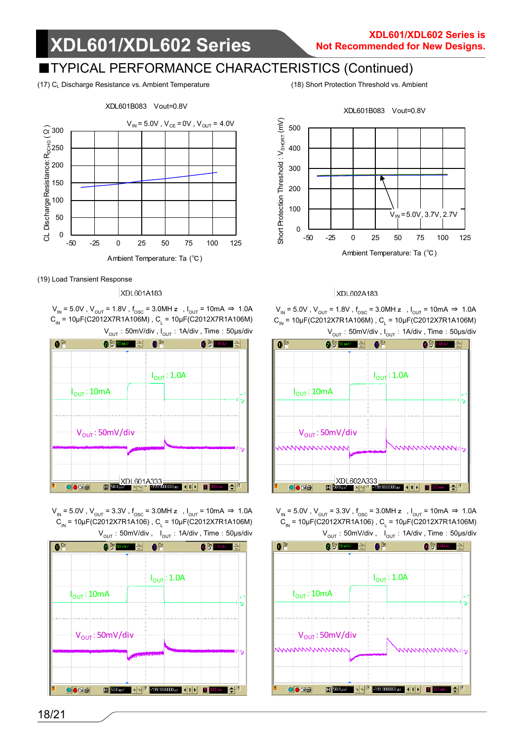### ■TYPICAL PERFORMANCE CHARACTERISTICS (Continued)

(17) CL Discharge Resistance vs. Ambient Temperature (18) Short Protection Threshold vs. Ambient



(19) Load Transient Response

#### XDL601A183

 $V_{IN}$  = 5.0V,  $V_{OUT}$  = 1.8V,  $f_{OSC}$  = 3.0MH z,  $I_{OUT}$  = 10mA  $\Rightarrow$  1.0A  $C_{\text{IN}}$  = 10μF(C2012X7R1A106M),  $C_{\text{I}}$  = 10μF(C2012X7R1A106M)  $V<sub>OUT</sub>$ : 50mV/div ,  $I<sub>OUT</sub>$ : 1A/div , Time: 50µs/div



 $V_{IN}$  = 5.0V,  $V_{OUT}$  = 3.3V, f<sub>osc</sub> = 3.0MH z,  $I_{OUT}$  = 10mA ⇒ 1.0A  $C_{\text{IN}}$  = 10μF(C2012X7R1A106),  $C_{\text{L}}$  = 10μF(C2012X7R1A106M)  $V<sub>OUT</sub>$ : 50mV/div,  $I<sub>OUT</sub>$ : 1A/div, Time: 50µs/div





### XDL602A183

 $V_{\text{IN}}$  = 5.0V,  $V_{\text{OUT}}$  = 1.8V,  $f_{\text{osc}}$  = 3.0MH z,  $I_{\text{OUT}}$  = 10mA  $\Rightarrow$  1.0A  $C_{\text{IN}}$  = 10μF(C2012X7R1A106M),  $C_{\text{I}}$  = 10μF(C2012X7R1A106M)  $V<sub>OUT</sub>$ : 50mV/div ,  $I<sub>OUT</sub>$ : 1A/div , Time: 50µs/div



 $V_{\text{IN}}$  = 5.0V,  $V_{\text{OUT}}$  = 3.3V,  $f_{\text{osc}}$  = 3.0MH z,  $I_{\text{OUT}}$  = 10mA  $\Rightarrow$  1.0A  $C_{_{IN}}$  = 10μF(C2012X7R1A106),  $C_{_{L}}$  = 10μF(C2012X7R1A106M)  $V_{\text{OUT}}:50\text{mV/div}$ ,  $I_{\text{OUT}}:1\text{A/div}$ , Time: 50µs/div

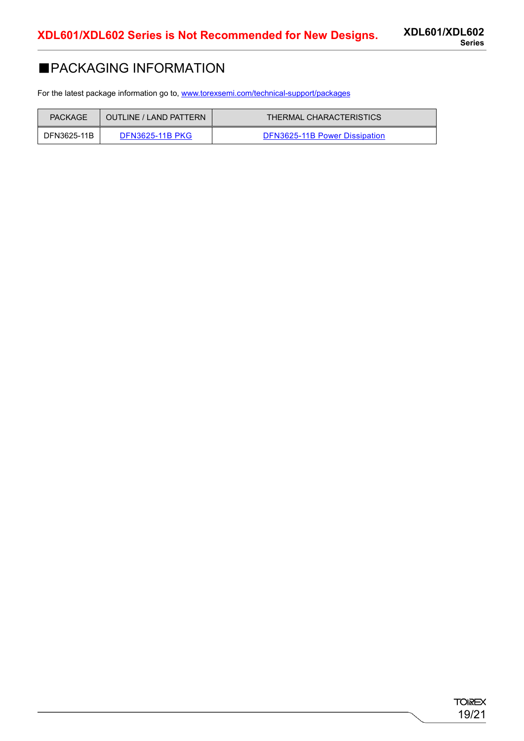### ■PACKAGING INFORMATION

For the latest package information go to, [www.torexsemi.com/technical-support/packages](https://www.torexsemi.com/technical-support/packages/)

| <b>PACKAGE</b> | OUTLINE / LAND PATTERN | THERMAL CHARACTERISTICS       |
|----------------|------------------------|-------------------------------|
| DFN3625-11B    | <b>DFN3625-11B PKG</b> | DFN3625-11B Power Dissipation |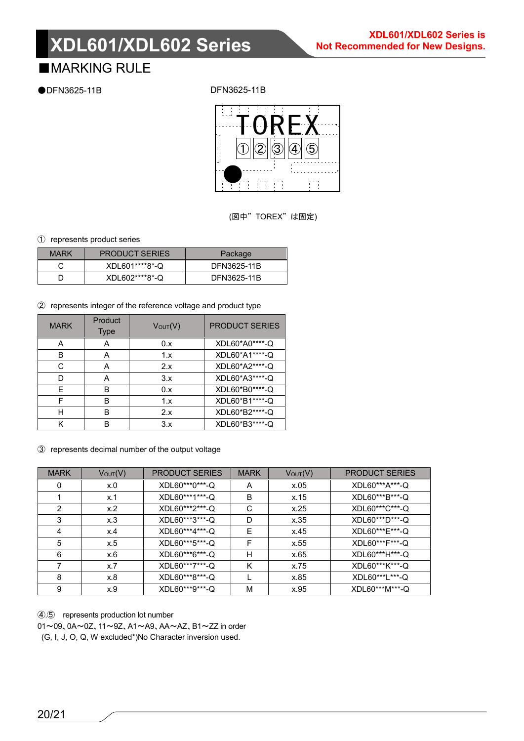### ■**MARKING RULE**

●DFN3625-11B

DFN3625-11B



(図中"TOREX"は固定)

① represents product series

| <b>MARK</b> | <b>PRODUCT SERIES</b> | Package     |
|-------------|-----------------------|-------------|
|             | XDL601****8*-Q        | DFN3625-11B |
|             | XDL602****8*-Q        | DFN3625-11B |

② represents integer of the reference voltage and product type

| <b>MARK</b> | Product<br><b>Type</b> | $V_{\text{OUT}}(V)$ | <b>PRODUCT SERIES</b> |
|-------------|------------------------|---------------------|-----------------------|
|             |                        | 0.x                 | XDL60*A0****-Q        |
| в           | А                      | 1.x                 | XDL60*A1****-Q        |
| C.          | А                      | 2.x                 | XDL60*A2****-Q        |
|             | А                      | 3.x                 | XDL60*A3****-Q        |
|             | в                      | 0.x                 | XDL60*B0*****-Q       |
|             | в                      | 1.x                 | XDL60*B1****-Q        |
| н           | в                      | 2.x                 | XDL60*B2****-Q        |
|             | R                      | 3.x                 | XDL60*B3*****-Q       |

③ represents decimal number of the output voltage

| <b>MARK</b> | $V_{\text{OUT}}(V)$ | <b>PRODUCT SERIES</b> | <b>MARK</b> | $V_{\text{OUT}}(V)$ | <b>PRODUCT SERIES</b> |
|-------------|---------------------|-----------------------|-------------|---------------------|-----------------------|
| 0           | x.0                 | XDL60***0***-Q        | A           | x.05                | XDL60***A***-Q        |
|             | x.1                 | XDL60***1***-Q        | В           | x.15                | XDL60***B***-Q        |
| 2           | x.2                 | XDL60***2***-Q        | C           | x.25                | XDL60***C***-Q        |
| 3           | x.3                 | XDL60***3***-Q        | D           | x.35                | XDL60***D***-Q        |
| 4           | x.4                 | XDL60***4***-Q        | Е           | x.45                | XDL60***E***-Q        |
| 5           | x.5                 | XDL60***5***-Q        | F           | x.55                | XDL60***F***-Q        |
| 6           | x.6                 | XDL60***6***-Q        | н           | x.65                | XDL60***H***-Q        |
|             | x.7                 | XDL60***7***-Q        | Κ           | x.75                | XDL60***K***-Q        |
| 8           | x.8                 | XDL60***8***-Q        |             | x.85                | XDL60***L***-Q        |
| 9           | x.9                 | XDL60***9***-Q        | М           | x.95                | XDL60***M***-Q        |

④,⑤ represents production lot number

01~09、0A~0Z、11~9Z、A1~A9、AA~AZ、B1~ZZ in order

(G, I, J, O, Q, W excluded\*)No Character inversion used.